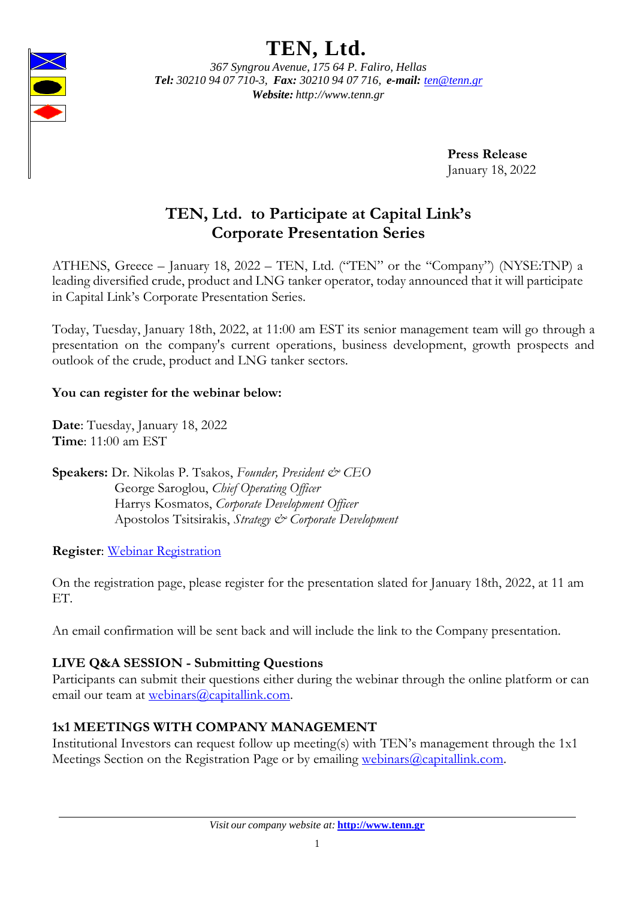# **TEN, Ltd.**



*367 Syngrou Avenue, 175 64 P. Faliro, Hellas Tel: 30210 94 07 710-3, Fax: 30210 94 07 716, e-mail: [ten@tenn.gr](mailto:ten@tenn.gr) Website: [http://www.tenn.gr](http://www.tenn.gr/)*

> **Press Release** January 18, 2022

# **TEN, Ltd. to Participate at Capital Link's Corporate Presentation Series**

ATHENS, Greece – January 18, 2022 – TEN, Ltd. ("TEN" or the "Company") (NYSE:TNP) a leading diversified crude, product and LNG tanker operator, today announced that it will participate in Capital Link's Corporate Presentation Series.

Today, Tuesday, January 18th, 2022, at 11:00 am EST its senior management team will go through a presentation on the company's current operations, business development, growth prospects and outlook of the crude, product and LNG tanker sectors.

# **You can register for the webinar below:**

**Date**: Tuesday, January 18, 2022 **Time**: 11:00 am EST

**Speakers:** Dr. Nikolas P. Tsakos, *Founder, President & CEO* George Saroglou, *Chief Operating Officer* Harrys Kosmatos, *Corporate Development Officer* Apostolos Tsitsirakis, *Strategy & Corporate Development*

# **Register**: [Webinar Registration](https://webinars.capitallink.com/2022/company_presentation/)

On the registration page, please register for the presentation slated for January 18th, 2022, at 11 am ET.

An email confirmation will be sent back and will include the link to the Company presentation.

# **LIVE Q&A SESSION - Submitting Questions**

Participants can submit their questions either during the webinar through the online platform or can email our team at [webinars@capitallink.com.](mailto:webinars@capitallink.com)

# **1x1 MEETINGS WITH COMPANY MANAGEMENT**

Institutional Investors can request follow up meeting(s) with TEN's management through the 1x1 Meetings Section on the Registration Page or by emailing [webinars@capitallink.com.](mailto:webinars@capitallink.com)